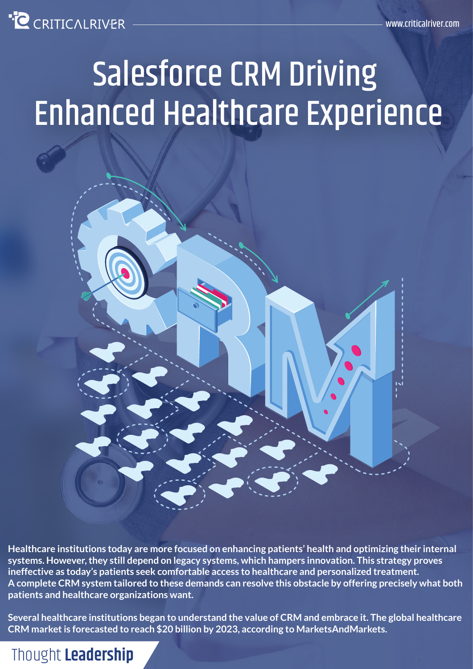

# Salesforce CRM Driving Enhanced Healthcare Experience



**Healthcare institutions today are more focused on enhancing patients' health and optimizing their internal systems. However, they still depend on legacy systems, which hampers innovation. This strategy proves ineffective as today's patients seek comfortable access to healthcare and personalized treatment. A complete CRM system tailored to these demands can resolve this obstacle by offering precisely what both patients and healthcare organizations want.**

**Several healthcare institutions began to understand the value of CRM and embrace it. The global healthcare CRM market is forecasted to reach \$20 billion by 2023, according to MarketsAndMarkets.**

Thought **Leadership**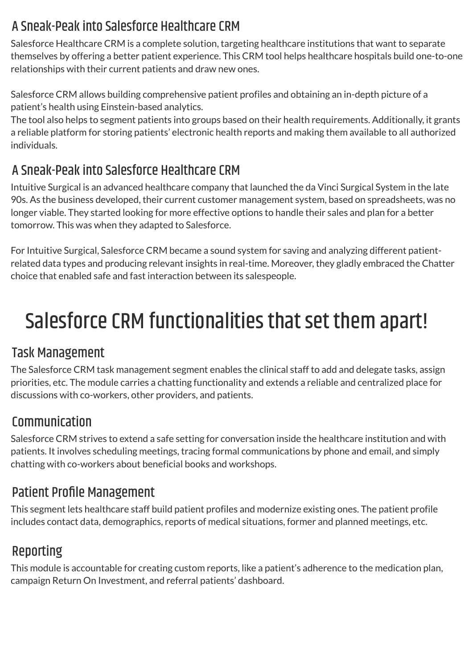#### A Sneak-Peak into Salesforce Healthcare CRM

Salesforce Healthcare CRM is a complete solution, targeting healthcare institutions that want to separate themselves by offering a better patient experience. This CRM tool helps healthcare hospitals build one-to-one relationships with their current patients and draw new ones.

Salesforce CRM allows building comprehensive patient profiles and obtaining an in-depth picture of a patient's health using Einstein-based analytics.

The tool also helps to segment patients into groups based on their health requirements. Additionally, it grants a reliable platform for storing patients' electronic health reports and making them available to all authorized individuals.

#### A Sneak-Peak into Salesforce Healthcare CRM

Intuitive Surgical is an advanced healthcare company that launched the da Vinci Surgical System in the late 90s. As the business developed, their current customer management system, based on spreadsheets, was no longer viable. They started looking for more effective options to handle their sales and plan for a better tomorrow. This was when they adapted to Salesforce.

For Intuitive Surgical, Salesforce CRM became a sound system for saving and analyzing different patientrelated data types and producing relevant insights in real-time. Moreover, they gladly embraced the Chatter choice that enabled safe and fast interaction between its salespeople.

## Salesforce CRM functionalities that set them apart!

#### Task Management

The Salesforce CRM task management segment enables the clinical staff to add and delegate tasks, assign priorities, etc. The module carries a chatting functionality and extends a reliable and centralized place for discussions with co-workers, other providers, and patients.

#### Communication

Salesforce CRM strives to extend a safe setting for conversation inside the healthcare institution and with patients. It involves scheduling meetings, tracing formal communications by phone and email, and simply chatting with co-workers about beneficial books and workshops.

#### Patient Profile Management

This segment lets healthcare staff build patient profiles and modernize existing ones. The patient profile includes contact data, demographics, reports of medical situations, former and planned meetings, etc.

#### Reporting

This module is accountable for creating custom reports, like a patient's adherence to the medication plan, campaign Return On Investment, and referral patients' dashboard.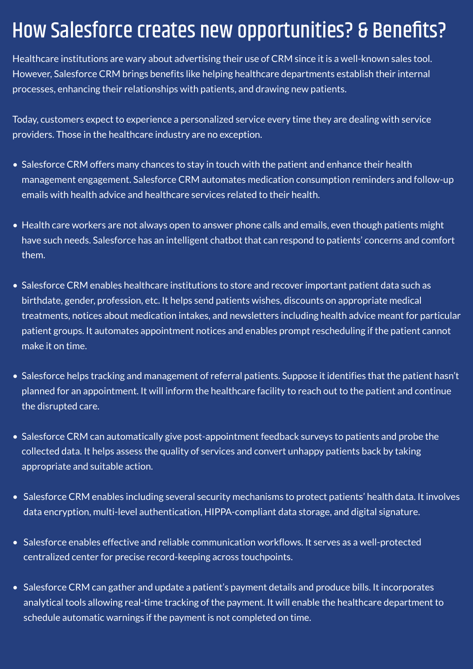### How Salesforce creates new opportunities? & Benefits?

Healthcare institutions are wary about advertising their use of CRM since it is a well-known sales tool. However, Salesforce CRM brings benefits like helping healthcare departments establish their internal processes, enhancing their relationships with patients, and drawing new patients.

Today, customers expect to experience a personalized service every time they are dealing with service providers. Those in the healthcare industry are no exception.

- Salesforce CRM offers many chances to stay in touch with the patient and enhance their health management engagement. Salesforce CRM automates medication consumption reminders and follow-up emails with health advice and healthcare services related to their health.
- Health care workers are not always open to answer phone calls and emails, even though patients might have such needs. Salesforce has an intelligent chatbot that can respond to patients' concerns and comfort them.
- Salesforce CRM enables healthcare institutions to store and recover important patient data such as birthdate, gender, profession, etc. It helps send patients wishes, discounts on appropriate medical treatments, notices about medication intakes, and newsletters including health advice meant for particular patient groups. It automates appointment notices and enables prompt rescheduling if the patient cannot make it on time.
- Salesforce helps tracking and management of referral patients. Suppose it identifies that the patient hasn't planned for an appointment. It will inform the healthcare facility to reach out to the patient and continue the disrupted care.
- Salesforce CRM can automatically give post-appointment feedback surveys to patients and probe the collected data. It helps assess the quality of services and convert unhappy patients back by taking appropriate and suitable action.
- Salesforce CRM enables including several security mechanisms to protect patients' health data. It involves data encryption, multi-level authentication, HIPPA-compliant data storage, and digital signature.
- Salesforce enables effective and reliable communication workflows. It serves as a well-protected centralized center for precise record-keeping across touchpoints.
- Salesforce CRM can gather and update a patient's payment details and produce bills. It incorporates analytical tools allowing real-time tracking of the payment. It will enable the healthcare department to schedule automatic warnings if the payment is not completed on time.